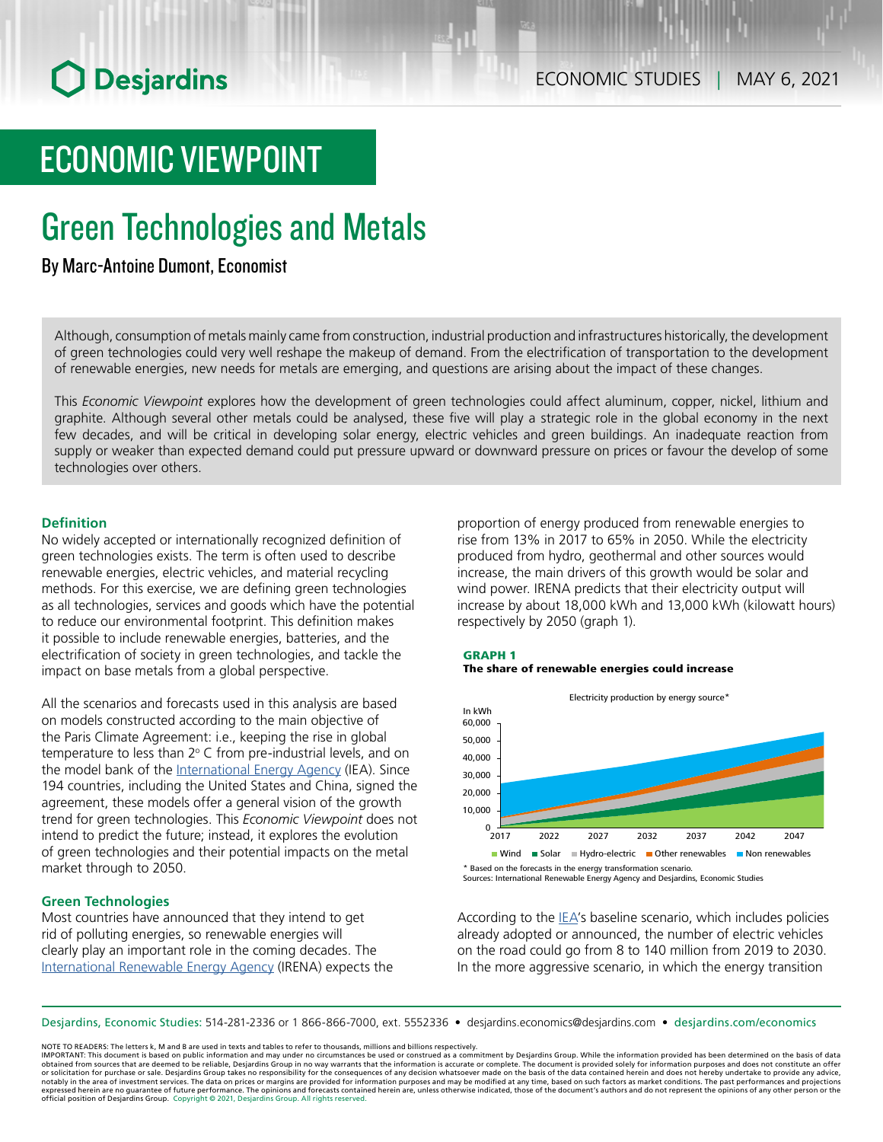# ECONOMIC VIEWPOINT

# Green Technologies and Metals

## By Marc-Antoine Dumont, Economist

Although, consumption of metals mainly came from construction, industrial production and infrastructures historically, the development of green technologies could very well reshape the makeup of demand. From the electrification of transportation to the development of renewable energies, new needs for metals are emerging, and questions are arising about the impact of these changes.

This *Economic Viewpoint* explores how the development of green technologies could affect aluminum, copper, nickel, lithium and graphite. Although several other metals could be analysed, these five will play a strategic role in the global economy in the next few decades, and will be critical in developing solar energy, electric vehicles and green buildings. An inadequate reaction from supply or weaker than expected demand could put pressure upward or downward pressure on prices or favour the develop of some technologies over others.

## **Definition**

No widely accepted or internationally recognized definition of green technologies exists. The term is often used to describe renewable energies, electric vehicles, and material recycling methods. For this exercise, we are defining green technologies as all technologies, services and goods which have the potential to reduce our environmental footprint. This definition makes it possible to include renewable energies, batteries, and the electrification of society in green technologies, and tackle the impact on base metals from a global perspective.

All the scenarios and forecasts used in this analysis are based on models constructed according to the main objective of the Paris Climate Agreement: i.e., keeping the rise in global temperature to less than  $2^{\circ}$  C from pre-industrial levels, and on the model bank of the [International Energy Agency](https://www.iea.org/reports/world-energy-model) (IEA). Since 194 countries, including the United States and China, signed the agreement, these models offer a general vision of the growth trend for green technologies. This *Economic Viewpoint* does not intend to predict the future; instead, it explores the evolution of green technologies and their potential impacts on the metal market through to 2050.

## **Green Technologies**

Most countries have announced that they intend to get rid of polluting energies, so renewable energies will clearly play an important role in the coming decades. The [International](https://www.irena.org/publications/2021/March/World-Energy-Transitions-Outlook) Renewable Energy Agency (IRENA) expects the proportion of energy produced from renewable energies to rise from 13% in 2017 to 65% in 2050. While the electricity produced from hydro, geothermal and other sources would increase, the main drivers of this growth would be solar and wind power. IRENA predicts that their electricity output will increase by about 18,000 kWh and 13,000 kWh (kilowatt hours) respectively by 2050 (graph 1).







Sources: International Renewable Energy Agency and Desjardins, Economic Studies

According to the [IEA](https://www.iea.org/reports/global-ev-outlook-2020)'s baseline scenario, which includes policies already adopted or announced, the number of electric vehicles on the road could go from 8 to 140 million from 2019 to 2030. In the more aggressive scenario, in which the energy transition

Desjardins, Economic Studies: 514‑281‑2336 or 1 866‑866‑7000, ext. 5552336 • desjardins.economics@desjardins.com • [desjardins.com/economics](http://desjardins.com/economics)

NOTE TO READERS: The letters k, M and B are used in texts and tables to refer to thousands, millions and billions respectively.

IMPORTANT: This document is based on public information and may under no circumstances be used or construed as a commitment by Desjardins Group. While the information provided has been determined on the basis of data<br>obtai notably in the area of investment services. The data on prices or margins are provided for information purposes and may be modified at any time, based on such factors as market conditions. The past performances and project expressed herein are no guarantee of future performance. The opinions and forecasts contained herein are, unless otherwise indicated, those of the document's authors and do not represent the opinions of any other person or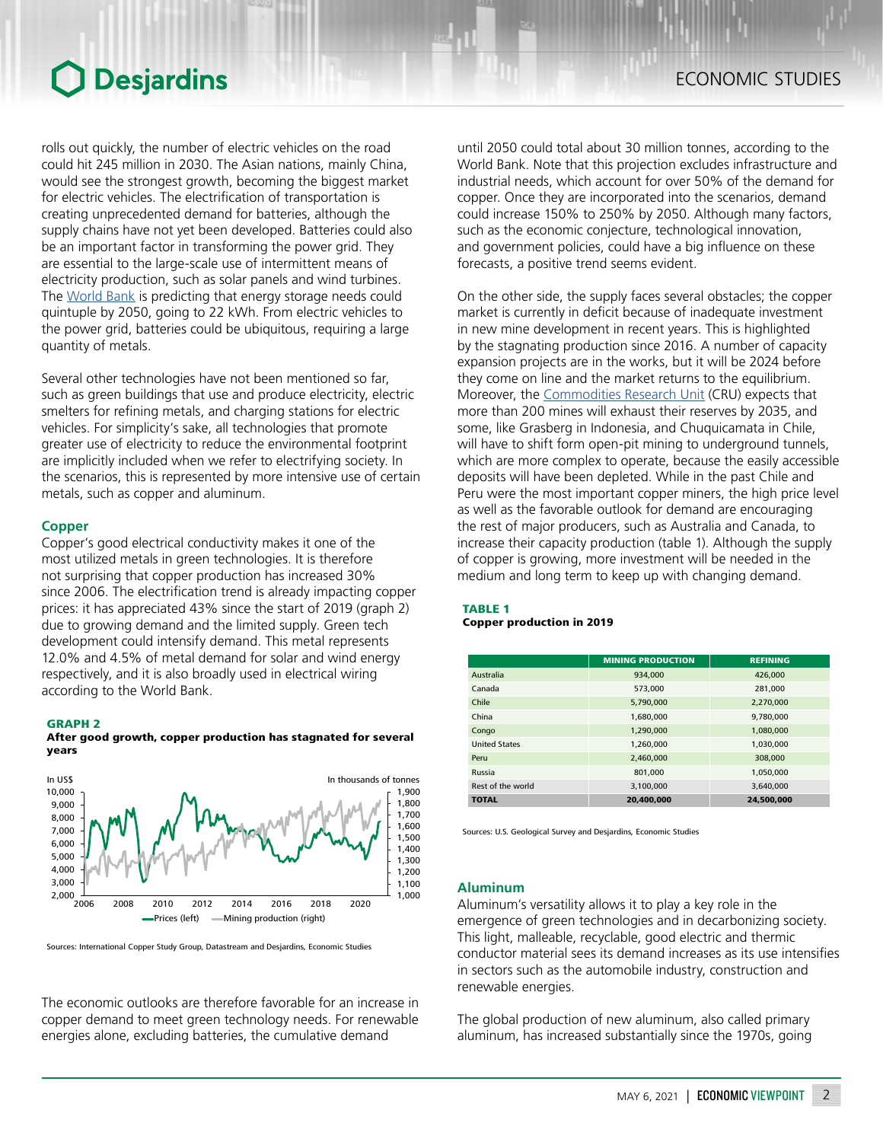rolls out quickly, the number of electric vehicles on the road could hit 245 million in 2030. The Asian nations, mainly China, would see the strongest growth, becoming the biggest market for electric vehicles. The electrification of transportation is creating unprecedented demand for batteries, although the supply chains have not yet been developed. Batteries could also be an important factor in transforming the power grid. They are essential to the large-scale use of intermittent means of electricity production, such as solar panels and wind turbines. The [World](https://www.worldbank.org/en/topic/extractiveindustries/brief/climate-smart-mining-minerals-for-climate-action) Bank is predicting that energy storage needs could quintuple by 2050, going to 22 kWh. From electric vehicles to the power grid, batteries could be ubiquitous, requiring a large quantity of metals.

Several other technologies have not been mentioned so far, such as green buildings that use and produce electricity, electric smelters for refining metals, and charging stations for electric vehicles. For simplicity's sake, all technologies that promote greater use of electricity to reduce the environmental footprint are implicitly included when we refer to electrifying society. In the scenarios, this is represented by more intensive use of certain metals, such as copper and aluminum.

## **Copper**

Copper's good electrical conductivity makes it one of the most utilized metals in green technologies. It is therefore not surprising that copper production has increased 30% since 2006. The electrification trend is already impacting copper prices: it has appreciated 43% since the start of 2019 (graph 2) due to growing demand and the limited supply. Green tech development could intensify demand. This metal represents 12.0% and 4.5% of metal demand for solar and wind energy respectively, and it is also broadly used in electrical wiring according to the World Bank.

#### GRAPH 2





Sources: International Copper Study Group, Datastream and Desjardins, Economic Studies

The economic outlooks are therefore favorable for an increase in copper demand to meet green technology needs. For renewable energies alone, excluding batteries, the cumulative demand

until 2050 could total about 30 million tonnes, according to the World Bank. Note that this projection excludes infrastructure and industrial needs, which account for over 50% of the demand for copper. Once they are incorporated into the scenarios, demand could increase 150% to 250% by 2050. Although many factors, such as the economic conjecture, technological innovation, and government policies, could have a big influence on these forecasts, a positive trend seems evident.

On the other side, the supply faces several obstacles; the copper market is currently in deficit because of inadequate investment in new mine development in recent years. This is highlighted by the stagnating production since 2016. A number of capacity expansion projects are in the works, but it will be 2024 before they come on line and the market returns to the equilibrium. Moreover, the [Commodities](https://www.crugroup.com/) Research Unit (CRU) expects that more than 200 mines will exhaust their reserves by 2035, and some, like Grasberg in Indonesia, and Chuquicamata in Chile, will have to shift form open-pit mining to underground tunnels, which are more complex to operate, because the easily accessible deposits will have been depleted. While in the past Chile and Peru were the most important copper miners, the high price level as well as the favorable outlook for demand are encouraging the rest of major producers, such as Australia and Canada, to increase their capacity production (table 1). Although the supply of copper is growing, more investment will be needed in the medium and long term to keep up with changing demand.

## TABLE 1 Copper production in 2019

|                      | <b>MINING PRODUCTION</b> | <b>REFINING</b> |
|----------------------|--------------------------|-----------------|
| Australia            | 934.000                  | 426,000         |
| Canada               | 573,000                  | 281,000         |
| Chile                | 5,790,000                | 2,270,000       |
| China                | 1.680.000                | 9.780.000       |
| Congo                | 1.290.000                | 1.080.000       |
| <b>United States</b> | 1,260,000                | 1,030,000       |
| Peru                 | 2,460,000                | 308,000         |
| Russia               | 801.000                  | 1.050.000       |
| Rest of the world    | 3,100,000                | 3.640.000       |
| <b>TOTAL</b>         | 20,400,000               | 24,500,000      |

Sources: U.S. Geological Survey and Desjardins, Economic Studies

## **Aluminum**

Aluminum's versatility allows it to play a key role in the emergence of green technologies and in decarbonizing society. This light, malleable, recyclable, good electric and thermic conductor material sees its demand increases as its use intensifies in sectors such as the automobile industry, construction and renewable energies.

The global production of new aluminum, also called primary aluminum, has increased substantially since the 1970s, going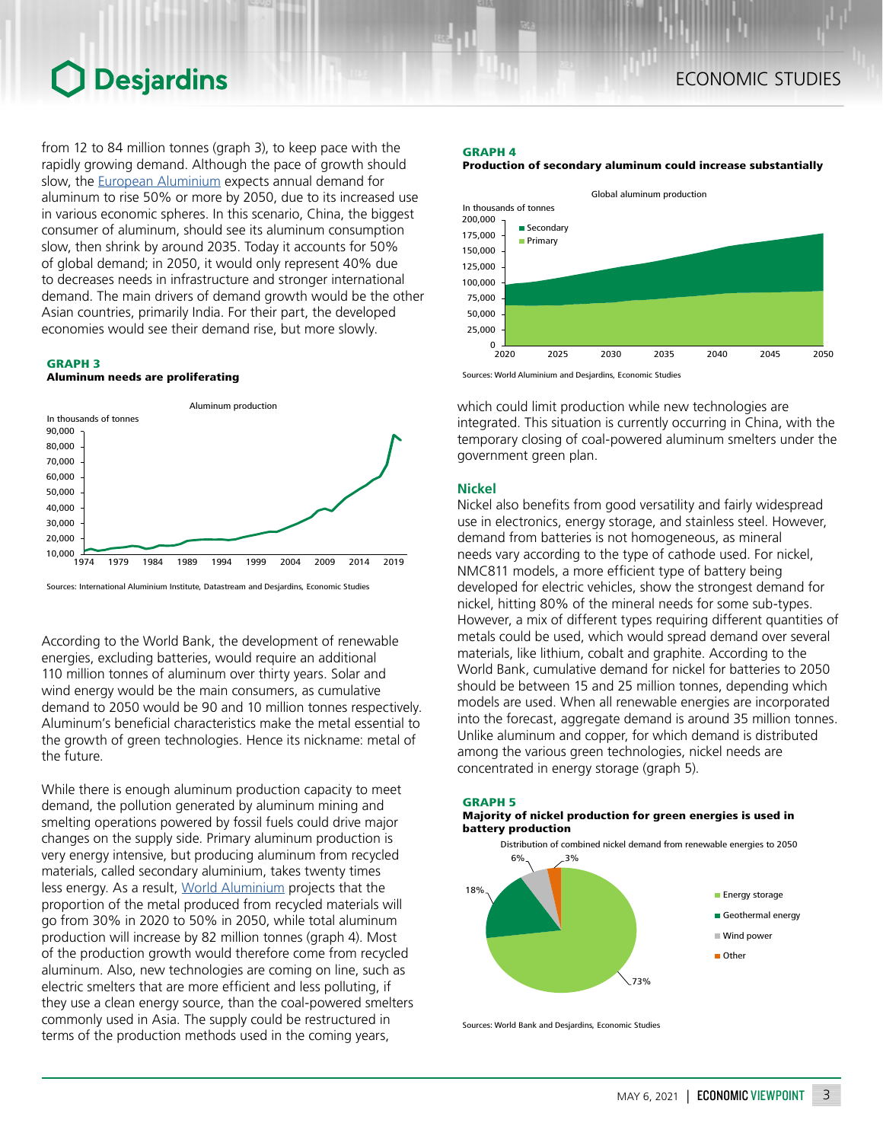from 12 to 84 million tonnes (graph 3), to keep pace with the rapidly growing demand. Although the pace of growth should slow, the European [Aluminium](https://www.european-aluminium.eu/vision-2050/) expects annual demand for aluminum to rise 50% or more by 2050, due to its increased use in various economic spheres. In this scenario, China, the biggest consumer of aluminum, should see its aluminum consumption slow, then shrink by around 2035. Today it accounts for 50% of global demand; in 2050, it would only represent 40% due to decreases needs in infrastructure and stronger international demand. The main drivers of demand growth would be the other Asian countries, primarily India. For their part, the developed economies would see their demand rise, but more slowly.

## GRAPH 3

### Aluminum needs are proliferating



Sources: International Aluminium Institute, Datastream and Desjardins, Economic Studies

According to the World Bank, the development of renewable energies, excluding batteries, would require an additional 110 million tonnes of aluminum over thirty years. Solar and wind energy would be the main consumers, as cumulative demand to 2050 would be 90 and 10 million tonnes respectively. Aluminum's beneficial characteristics make the metal essential to the growth of green technologies. Hence its nickname: metal of the future.

While there is enough aluminum production capacity to meet demand, the pollution generated by aluminum mining and smelting operations powered by fossil fuels could drive major changes on the supply side. Primary aluminum production is very energy intensive, but producing aluminum from recycled materials, called secondary aluminium, takes twenty times less energy. As a result, World [Aluminium](https://alucycle.world-aluminium.org/) projects that the proportion of the metal produced from recycled materials will go from 30% in 2020 to 50% in 2050, while total aluminum production will increase by 82 million tonnes (graph 4). Most of the production growth would therefore come from recycled aluminum. Also, new technologies are coming on line, such as electric smelters that are more efficient and less polluting, if they use a clean energy source, than the coal-powered smelters commonly used in Asia. The supply could be restructured in terms of the production methods used in the coming years,

## GRAPH 4

#### Production of secondary aluminum could increase substantially



Sources: World Aluminium and Desjardins, Economic Studies

which could limit production while new technologies are integrated. This situation is currently occurring in China, with the temporary closing of coal-powered aluminum smelters under the government green plan.

## **Nickel**

Nickel also benefits from good versatility and fairly widespread use in electronics, energy storage, and stainless steel. However, demand from batteries is not homogeneous, as mineral needs vary according to the type of cathode used. For nickel, NMC811 models, a more efficient type of battery being developed for electric vehicles, show the strongest demand for nickel, hitting 80% of the mineral needs for some sub-types. However, a mix of different types requiring different quantities of metals could be used, which would spread demand over several materials, like lithium, cobalt and graphite. According to the World Bank, cumulative demand for nickel for batteries to 2050 should be between 15 and 25 million tonnes, depending which models are used. When all renewable energies are incorporated into the forecast, aggregate demand is around 35 million tonnes. Unlike aluminum and copper, for which demand is distributed among the various green technologies, nickel needs are concentrated in energy storage (graph 5).



Sources: World Bank and Desjardins, Economic Studies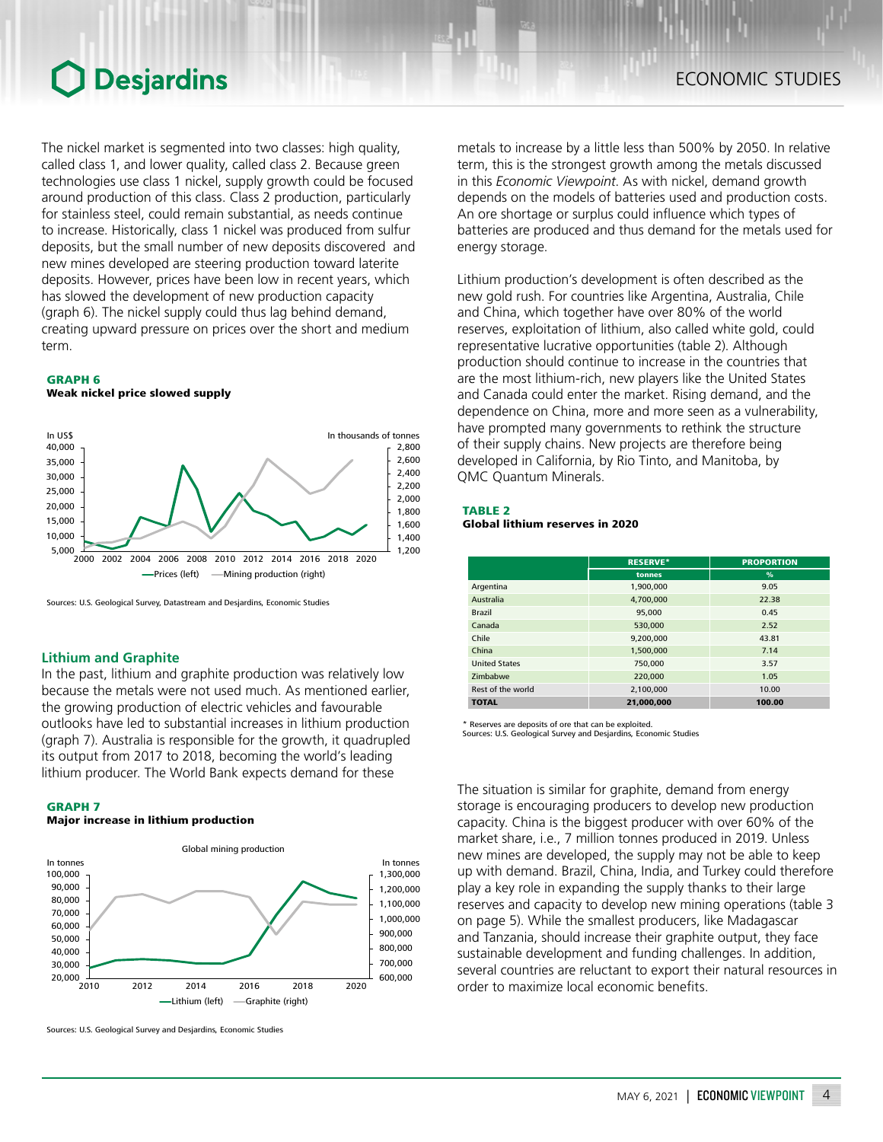The nickel market is segmented into two classes: high quality, called class 1, and lower quality, called class 2. Because green technologies use class 1 nickel, supply growth could be focused around production of this class. Class 2 production, particularly for stainless steel, could remain substantial, as needs continue to increase. Historically, class 1 nickel was produced from sulfur deposits, but the small number of new deposits discovered and new mines developed are steering production toward laterite deposits. However, prices have been low in recent years, which has slowed the development of new production capacity (graph 6). The nickel supply could thus lag behind demand, creating upward pressure on prices over the short and medium term.

### GRAPH 6

Weak nickel price slowed supply



Sources: U.S. Geological Survey, Datastream and Desjardins, Economic Studies

## **Lithium and Graphite**

In the past, lithium and graphite production was relatively low because the metals were not used much. As mentioned earlier, the growing production of electric vehicles and favourable outlooks have led to substantial increases in lithium production (graph 7). Australia is responsible for the growth, it quadrupled its output from 2017 to 2018, becoming the world's leading lithium producer. The World Bank expects demand for these

#### GRAPH 7

## Major increase in lithium production



Sources: U.S. Geological Survey and Desjardins, Economic Studies

metals to increase by a little less than 500% by 2050. In relative term, this is the strongest growth among the metals discussed in this *Economic Viewpoint*. As with nickel, demand growth depends on the models of batteries used and production costs. An ore shortage or surplus could influence which types of batteries are produced and thus demand for the metals used for energy storage.

Lithium production's development is often described as the new gold rush. For countries like Argentina, Australia, Chile and China, which together have over 80% of the world reserves, exploitation of lithium, also called white gold, could representative lucrative opportunities (table 2). Although production should continue to increase in the countries that are the most lithium-rich, new players like the United States and Canada could enter the market. Rising demand, and the dependence on China, more and more seen as a vulnerability, have prompted many governments to rethink the structure of their supply chains. New projects are therefore being developed in California, by Rio Tinto, and Manitoba, by QMC Quantum Minerals.

### TABLE 2

### Global lithium reserves in 2020

|                      | <b>RESERVE*</b> | <b>PROPORTION</b> |
|----------------------|-----------------|-------------------|
|                      | tonnes          | $\%$              |
| Argentina            | 1.900.000       | 9.05              |
| Australia            | 4,700,000       | 22.38             |
| <b>Brazil</b>        | 95,000          | 0.45              |
| Canada               | 530,000         | 2.52              |
| Chile                | 9.200.000       | 43.81             |
| China                | 1,500,000       | 7.14              |
| <b>United States</b> | 750,000         | 3.57              |
| Zimbabwe             | 220,000         | 1.05              |
| Rest of the world    | 2.100.000       | 10.00             |
| <b>TOTAL</b>         | 21.000.000      | 100.00            |

Reserves are deposits of ore that can be exploited.

Sources: U.S. Geological Survey and Desjardins, Economic Studies

The situation is similar for graphite, demand from energy storage is encouraging producers to develop new production capacity. China is the biggest producer with over 60% of the market share, i.e., 7 million tonnes produced in 2019. Unless new mines are developed, the supply may not be able to keep up with demand. Brazil, China, India, and Turkey could therefore play a key role in expanding the supply thanks to their large reserves and capacity to develop new mining operations (table 3 on page 5). While the smallest producers, like Madagascar and Tanzania, should increase their graphite output, they face sustainable development and funding challenges. In addition, several countries are reluctant to export their natural resources in order to maximize local economic benefits.